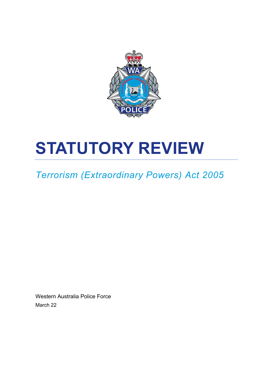

# **STATUTORY REVIEW**

## *Terrorism (Extraordinary Powers) Act 2005*

Western Australia Police Force March 22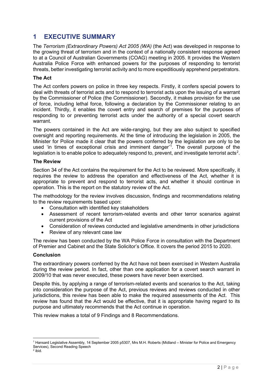## <span id="page-1-2"></span>**1 EXECUTIVE SUMMARY**

The *Terrorism (Extraordinary Powers) Act 2005 (WA)* (the Act) was developed in response to the growing threat of terrorism and in the context of a nationally consistent response agreed to at a Council of Australian Governments (COAG) meeting in 2005. It provides the Western Australia Police Force with enhanced powers for the purposes of responding to terrorist threats, better investigating terrorist activity and to more expeditiously apprehend perpetrators.

## **The Act**

The Act confers powers on police in three key respects. Firstly, it confers special powers to deal with threats of terrorist acts and to respond to terrorist acts upon the issuing of a warrant by the Commissioner of Police (the Commissioner). Secondly, it makes provision for the use of force, including lethal force, following a declaration by the Commissioner relating to an incident. Thirdly, it enables the covert entry and search of premises for the purposes of responding to or preventing terrorist acts under the authority of a special covert search warrant.

The powers contained in the Act are wide-ranging, but they are also subject to specified oversight and reporting requirements. At the time of introducing the legislation in 2005, the Minister for Police made it clear that the powers conferred by the legislation are only to be used 'in times of exceptional crisis and imminent danger' [1](#page-1-0) . The overall purpose of the legislation is to enable police to adequately respond to, prevent, and investigate terrorist acts $^2$  $^2$ .

#### **The Review**

Section 34 of the Act contains the requirement for the Act to be reviewed. More specifically, it requires the review to address the operation and effectiveness of the Act, whether it is appropriate to prevent and respond to terrorist acts, and whether it should continue in operation. This is the report on the statutory review of the Act.

The methodology for the review involves discussion, findings and recommendations relating to the review requirements based upon:

- Consultation with identified key stakeholders
- Assessment of recent terrorism-related events and other terror scenarios against current provisions of the Act
- Consideration of reviews conducted and legislative amendments in other jurisdictions
- Review of any relevant case law

The review has been conducted by the WA Police Force in consultation with the Department of Premier and Cabinet and the State Solicitor's Office. It covers the period 2015 to 2020.

## **Conclusion**

The extraordinary powers conferred by the Act have not been exercised in Western Australia during the review period. In fact, other than one application for a covert search warrant in 2009/10 that was never executed, these powers have never been exercised.

Despite this, by applying a range of terrorism-related events and scenarios to the Act, taking into consideration the purpose of the Act, previous reviews and reviews conducted in other jurisdictions, this review has been able to make the required assessments of the Act. This review has found that the Act would be effective, that it is appropriate having regard to its purpose and ultimately recommends that the Act continue in operation.

This review makes a total of 9 Findings and 8 Recommendations.

<span id="page-1-0"></span><sup>1</sup> Hansard Legislative Assembly, 14 September 2005 p5307, Mrs M.H. Roberts (Midland – Minister for Police and Emergency Services), Second Reading Speech

<span id="page-1-1"></span> $2$  ibid.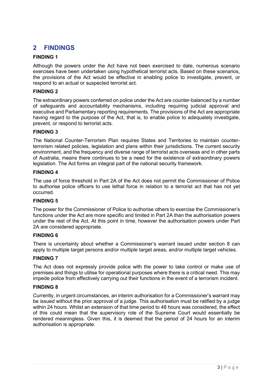## <span id="page-2-0"></span>**2 FINDINGS**

## **FINDING 1**

Although the powers under the Act have not been exercised to date, numerous scenario exercises have been undertaken using hypothetical terrorist acts. Based on these scenarios, the provisions of the Act would be effective in enabling police to investigate, prevent, or respond to an actual or suspected terrorist act.

## **FINDING 2**

The extraordinary powers conferred on police under the Act are counter-balanced by a number of safeguards and accountability mechanisms, including requiring judicial approval and executive and Parliamentary reporting requirements. The provisions of the Act are appropriate having regard to the purpose of the Act, that is, to enable police to adequately investigate, prevent, or respond to terrorist acts.

## **FINDING 3**

The National Counter-Terrorism Plan requires States and Territories to maintain counterterrorism related policies, legislation and plans within their jurisdictions. The current security environment, and the frequency and diverse range of terrorist acts overseas and in other parts of Australia, means there continues to be a need for the existence of extraordinary powers legislation. The Act forms an integral part of the national security framework.

## **FINDING 4**

The use of force threshold in Part 2A of the Act does not permit the Commissioner of Police to authorise police officers to use lethal force in relation to a terrorist act that has not yet occurred.

#### **FINDING 5**

The power for the Commissioner of Police to authorise others to exercise the Commissioner's functions under the Act are more specific and limited in Part 2A than the authorisation powers under the rest of the Act. At this point in time, however the authorisation powers under Part 2A are considered appropriate.

## **FINDING 6**

There is uncertainty about whether a Commissioner's warrant issued under section 8 can apply to multiple target persons and/or multiple target areas, and/or multiple target vehicles.

## **FINDING 7**

The Act does not expressly provide police with the power to take control or make use of premises and things to utilise for operational purposes where there is a critical need. This may impede police from effectively carrying out their functions in the event of a terrorism incident.

## **FINDING 8**

Currently, in urgent circumstances, an interim authorisation for a Commissioner's warrant may be issued without the prior approval of a judge. This authorisation must be ratified by a judge within 24 hours. Whilst an extension of that time period to 48 hours was considered, the effect of this could mean that the supervisory role of the Supreme Court would essentially be rendered meaningless. Given this, it is deemed that the period of 24 hours for an interim authorisation is appropriate.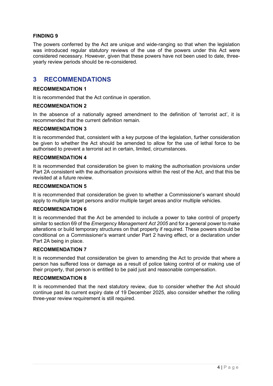## **FINDING 9**

The powers conferred by the Act are unique and wide-ranging so that when the legislation was introduced regular statutory reviews of the use of the powers under this Act were considered necessary. However, given that these powers have not been used to date, threeyearly review periods should be re-considered.

## <span id="page-3-0"></span>**3 RECOMMENDATIONS**

## **RECOMMENDATION 1**

It is recommended that the Act continue in operation.

## **RECOMMENDATION 2**

In the absence of a nationally agreed amendment to the definition of 'terrorist act', it is recommended that the current definition remain.

## **RECOMMENDATION 3**

It is recommended that, consistent with a key purpose of the legislation, further consideration be given to whether the Act should be amended to allow for the use of lethal force to be authorised to prevent a terrorist act in certain, limited, circumstances.

#### **RECOMMENDATION 4**

It is recommended that consideration be given to making the authorisation provisions under Part 2A consistent with the authorisation provisions within the rest of the Act, and that this be revisited at a future review.

#### **RECOMMENDATION 5**

It is recommended that consideration be given to whether a Commissioner's warrant should apply to multiple target persons and/or multiple target areas and/or multiple vehicles.

## **RECOMMENDATION 6**

It is recommended that the Act be amended to include a power to take control of property similar to section 69 of the *Emergency Management Act 2005* and for a general power to make alterations or build temporary structures on that property if required. These powers should be conditional on a Commissioner's warrant under Part 2 having effect, or a declaration under Part 2A being in place.

#### **RECOMMENDATION 7**

It is recommended that consideration be given to amending the Act to provide that where a person has suffered loss or damage as a result of police taking control of or making use of their property, that person is entitled to be paid just and reasonable compensation.

#### **RECOMMENDATION 8**

It is recommended that the next statutory review, due to consider whether the Act should continue past its current expiry date of 19 December 2025, also consider whether the rolling three-year review requirement is still required.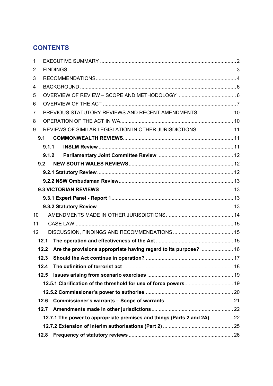## **CONTENTS**

| 1  |       |                                                                          |  |
|----|-------|--------------------------------------------------------------------------|--|
| 2  |       |                                                                          |  |
| 3  |       |                                                                          |  |
| 4  |       |                                                                          |  |
| 5  |       |                                                                          |  |
| 6  |       |                                                                          |  |
| 7  |       | PREVIOUS STATUTORY REVIEWS AND RECENT AMENDMENTS 10                      |  |
| 8  |       |                                                                          |  |
| 9  |       | REVIEWS OF SIMILAR LEGISLATION IN OTHER JURISDICTIONS  11                |  |
|    | 9.1   |                                                                          |  |
|    | 9.1.1 |                                                                          |  |
|    |       | 9.1.2                                                                    |  |
|    | 9.2   |                                                                          |  |
|    |       |                                                                          |  |
|    |       |                                                                          |  |
|    |       |                                                                          |  |
|    |       |                                                                          |  |
|    |       |                                                                          |  |
| 10 |       |                                                                          |  |
| 11 |       |                                                                          |  |
| 12 |       |                                                                          |  |
|    | 12.1  |                                                                          |  |
|    | 12.2  | Are the provisions appropriate having regard to its purpose?  16         |  |
|    | 12.3  |                                                                          |  |
|    | 12.4  |                                                                          |  |
|    | 12.5  |                                                                          |  |
|    |       |                                                                          |  |
|    |       |                                                                          |  |
|    | 12.6  |                                                                          |  |
|    | 12.7  |                                                                          |  |
|    |       | 12.7.1 The power to appropriate premises and things (Parts 2 and 2A)  22 |  |
|    |       |                                                                          |  |
|    | 12.8  |                                                                          |  |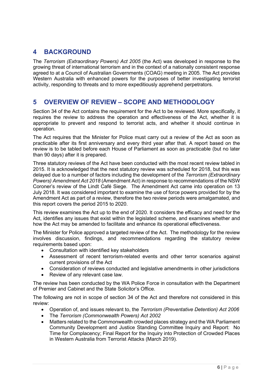## <span id="page-5-0"></span>**4 BACKGROUND**

The *Terrorism (Extraordinary Powers) Act 2005* (the Act) was developed in response to the growing threat of international terrorism and in the context of a nationally consistent response agreed to at a Council of Australian Governments (COAG) meeting in 2005. The Act provides Western Australia with enhanced powers for the purposes of better investigating terrorist activity, responding to threats and to more expeditiously apprehend perpetrators.

## <span id="page-5-1"></span>**5 OVERVIEW OF REVIEW – SCOPE AND METHODOLOGY**

Section 34 of the Act contains the requirement for the Act to be reviewed. More specifically, it requires the review to address the operation and effectiveness of the Act, whether it is appropriate to prevent and respond to terrorist acts, and whether it should continue in operation.

The Act requires that the Minister for Police must carry out a review of the Act as soon as practicable after its first anniversary and every third year after that. A report based on the review is to be tabled before each House of Parliament as soon as practicable (but no later than 90 days) after it is prepared.

Three statutory reviews of the Act have been conducted with the most recent review tabled in 2015. It is acknowledged that the next statutory review was scheduled for 2018, but this was delayed due to a number of factors including the development of the *Terrorism (Extraordinary Powers) Amendment Act 2018* (Amendment Act) in response to recommendations of the NSW Coroner's review of the Lindt Café Siege. The Amendment Act came into operation on 13 July 2018. It was considered important to examine the use of force powers provided for by the Amendment Act as part of a review, therefore the two review periods were amalgamated, and this report covers the period 2015 to 2020.

This review examines the Act up to the end of 2020. It considers the efficacy and need for the Act, identifies any issues that exist within the legislated scheme, and examines whether and how the Act may be amended to facilitate and enhance its operational effectiveness.

The Minister for Police approved a targeted review of the Act. The methodology for the review involves discussion, findings, and recommendations regarding the statutory review requirements based upon:

- Consultation with identified key stakeholders
- Assessment of recent terrorism-related events and other terror scenarios against current provisions of the Act
- Consideration of reviews conducted and legislative amendments in other jurisdictions
- Review of any relevant case law.

The review has been conducted by the WA Police Force in consultation with the Department of Premier and Cabinet and the State Solicitor's Office.

The following are not in scope of section 34 of the Act and therefore not considered in this review:

- Operation of, and issues relevant to, the *Terrorism (Preventative Detention) Act 2006*
- The *Terrorism (Commonwealth Powers) Act 2002*
- Matters related to the Commonwealth crowded places strategy and the WA Parliament Community Development and Justice Standing Committee Inquiry and Report: No Time for Complacency; Final Report for the Inquiry into Protection of Crowded Places in Western Australia from Terrorist Attacks (March 2019).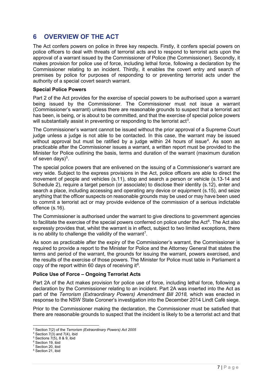## <span id="page-6-0"></span>**6 OVERVIEW OF THE ACT**

The Act confers powers on police in three key respects. Firstly, it confers special powers on police officers to deal with threats of terrorist acts and to respond to terrorist acts upon the approval of a warrant issued by the Commissioner of Police (the Commissioner). Secondly, it makes provision for police use of force, including lethal force, following a declaration by the Commissioner relating to an incident. Thirdly, it enables the covert entry and search of premises by police for purposes of responding to or preventing terrorist acts under the authority of a special covert search warrant.

## **Special Police Powers**

Part 2 of the Act provides for the exercise of special powers to be authorised upon a warrant being issued by the Commissioner. The Commissioner must not issue a warrant (Commissioner's warrant) unless there are reasonable grounds to suspect that a terrorist act has been, is being, or is about to be committed, and that the exercise of special police powers will substantially assist in preventing or responding to the terrorist act $^3$  $^3$ .

The Commissioner's warrant cannot be issued without the prior approval of a Supreme Court judge unless a judge is not able to be contacted. In this case, the warrant may be issued without approval but must be ratified by a judge within 2[4](#page-6-2) hours of issue<sup>4</sup>. As soon as practicable after the Commissioner issues a warrant, a written report must be provided to the Minister for Police outlining the basis, terms and duration of the warrant (maximum duration of seven days) $5$ .

The special police powers that are enlivened on the issuing of a Commissioner's warrant are very wide. Subject to the express provisions in the Act, police officers are able to direct the movement of people and vehicles (s.11), stop and search a person or vehicle (s.13-14 and Schedule 2), require a target person (or associate) to disclose their identity (s.12), enter and search a place, including accessing and operating any device or equipment (s.15), and seize anything that the officer suspects on reasonable grounds may be used or may have been used to commit a terrorist act or may provide evidence of the commission of a serious indictable offence (s.16).

The Commissioner is authorised under the warrant to give directions to government agencies to facilitate the exercise of the special powers conferred on police under the Act $<sup>6</sup>$  $<sup>6</sup>$  $<sup>6</sup>$ . The Act also</sup> expressly provides that, whilst the warrant is in effect, subject to two limited exceptions, there is no ability to challenge the validity of the warrant<sup>[7](#page-6-5)</sup>.

As soon as practicable after the expiry of the Commissioner's warrant, the Commissioner is required to provide a report to the Minister for Police and the Attorney General that states the terms and period of the warrant, the grounds for issuing the warrant, powers exercised, and the results of the exercise of those powers. The Minister for Police must table in Parliament a copy of the report within 60 days of receiving it $8$ .

## **Police Use of Force – Ongoing Terrorist Acts**

Part 2A of the Act makes provision for police use of force, including lethal force, following a declaration by the Commissioner relating to an incident. Part 2A was inserted into the Act as part of the *Terrorism (Extraordinary Powers) Amendment Bill 2018,* which was enacted in response to the NSW State Coroner's investigation into the December 2014 Lindt Café siege.

Prior to the Commissioner making the declaration, the Commissioner must be satisfied that there are reasonable grounds to suspect that the incident is likely to be a terrorist act and that

<span id="page-6-1"></span><sup>3</sup> Section 7(2) of the *Terrorism (Extraordinary Powers) Act 2005*

<span id="page-6-2"></span> $4$  Section 7(3) and 7(4), ibid

<span id="page-6-3"></span> $5$  Sections  $7(5)$ , 8 & 9, ibid

<span id="page-6-4"></span><sup>&</sup>lt;sup>6</sup> Section 19, ibid

<span id="page-6-5"></span><sup>&</sup>lt;sup>7</sup> Section 20, ibid

<span id="page-6-6"></span><sup>&</sup>lt;sup>8</sup> Section 21, ibid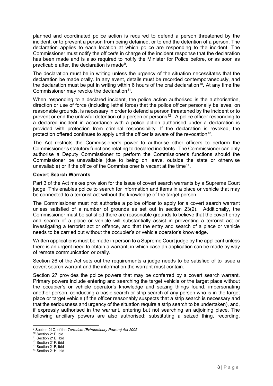planned and coordinated police action is required to defend a person threatened by the incident, or to prevent a person from being detained, or to end the detention of a person. The declaration applies to each location at which police are responding to the incident. The Commissioner must notify the officer/s in charge of the incident response that the declaration has been made and is also required to notify the Minister for Police before, or as soon as practicable after, the declaration is made<sup>[9](#page-7-0)</sup>.

The declaration must be in writing unless the urgency of the situation necessitates that the declaration be made orally. In any event, details must be recorded contemporaneously, and the declaration must be put in writing within 6 hours of the oral declaration<sup>10</sup>. At any time the Commissioner may revoke the declaration<sup>11</sup>.

When responding to a declared incident, the police action authorised is the authorisation, direction or use of force (including lethal force) that the police officer personally believes, on reasonable grounds, is necessary in order to defend a person threatened by the incident or to prevent or end the unlawful detention of a person or persons<sup>12</sup>. A police officer responding to a declared incident in accordance with a police action authorised under a declaration is provided with protection from criminal responsibility. If the declaration is revoked, the protection offered continues to apply until the officer is aware of the revocation<sup>13</sup>.

The Act restricts the Commissioner's power to authorise other officers to perform the Commissioner's statutory functions relating to declared incidents. The Commissioner can only authorise a Deputy Commissioner to perform the Commissioner's functions should the Commissioner be unavailable (due to being on leave, outside the state or otherwise unavailable) or if the office of the Commissioner is vacant at the time<sup>[14](#page-7-5)</sup>.

## **Covert Search Warrants**

Part 3 of the Act makes provision for the issue of covert search warrants by a Supreme Court judge. This enables police to search for information and items in a place or vehicle that may be connected to a terrorist act without the knowledge of the target person.

The Commissioner must not authorise a police officer to apply for a covert search warrant unless satisfied of a number of grounds as set out in section 23(2). Additionally, the Commissioner must be satisfied there are reasonable grounds to believe that the covert entry and search of a place or vehicle will substantially assist in preventing a terrorist act or investigating a terrorist act or offence, and that the entry and search of a place or vehicle needs to be carried out without the occupier's or vehicle operator's knowledge.

Written applications must be made in person to a Supreme Court judge by the applicant unless there is an urgent need to obtain a warrant, in which case an application can be made by way of remote communication or orally.

Section 26 of the Act sets out the requirements a judge needs to be satisfied of to issue a covert search warrant and the information the warrant must contain.

Section 27 provides the police powers that may be conferred by a covert search warrant. Primary powers include entering and searching the target vehicle or the target place without the occupier's or vehicle operator's knowledge and seizing things found, impersonating another person, conducting a basic search or strip search of any person who is in the target place or target vehicle (if the officer reasonably suspects that a strip search is necessary and that the seriousness and urgency of the situation require a strip search to be undertaken), and, if expressly authorised in the warrant, entering but not searching an adjoining place. The following ancillary powers are also authorised: substituting a seized thing, recording,

<span id="page-7-0"></span><sup>9</sup> Section 21C, of the *Terrorism (Extraordinary Powers) Act 2005*

<span id="page-7-1"></span><sup>10</sup> Section 21D ibid

<sup>&</sup>lt;sup>11</sup> Section 21E, ibid

<span id="page-7-3"></span><span id="page-7-2"></span><sup>12</sup> Section 21F, ibid  $13$  Section 21F, ibid

<span id="page-7-5"></span><span id="page-7-4"></span><sup>&</sup>lt;sup>14</sup> Section 21H, ibid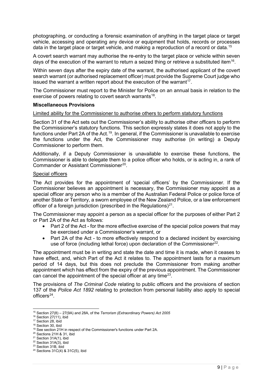photographing, or conducting a forensic examination of anything in the target place or target vehicle, accessing and operating any device or equipment that holds, records or processes data in the target place or target vehicle, and making a reproduction of a record or data. [15](#page-8-0)

A covert search warrant may authorise the re-entry to the target place or vehicle within seven days of the execution of the warrant to return a seized thing or retrieve a substituted item<sup>[16](#page-8-1)</sup>.

Within seven days after the expiry date of the warrant, the authorised applicant of the covert search warrant (or authorised replacement officer) must provide the Supreme Court judge who issued the warrant a written report about the execution of the warrant<sup>17</sup>.

The Commissioner must report to the Minister for Police on an annual basis in relation to the exercise of powers relating to covert search warrants<sup>18</sup>.

#### **Miscellaneous Provisions**

#### Limited ability for the Commissioner to authorise others to perform statutory functions

Section 31 of the Act sets out the Commissioner's ability to authorise other officers to perform the Commissioner's statutory functions. This section expressly states it does not apply to the functions under Part 2A of the Act.<sup>[19](#page-8-4)</sup>. In general, if the Commissioner is unavailable to exercise the functions under the Act, the Commissioner may authorise (in writing) a Deputy Commissioner to perform them.

Additionally, if a Deputy Commissioner is unavailable to exercise these functions, the Commissioner is able to delegate them to a police officer who holds, or is acting in, a rank of Commander or Assistant Commissioner<sup>20</sup>.

#### Special officers

The Act provides for the appointment of 'special officers' by the Commissioner. If the Commissioner believes an appointment is necessary, the Commissioner may appoint as a special officer any person who is a member of the Australian Federal Police or police force of another State or Territory, a sworn employee of the New Zealand Police, or a law enforcement officer of a foreign jurisdiction (prescribed in the Regulations) $21$ .

The Commissioner may appoint a person as a special officer for the purposes of either Part 2 or Part 2A of the Act as follows:

- Part 2 of the Act for the more effective exercise of the special police powers that may be exercised under a Commissioner's warrant, or
- Part 2A of the Act to more effectively respond to a declared incident by exercising use of force (including lethal force) upon declaration of the Commissioner<sup>[22](#page-8-7)</sup>.

The appointment must be in writing and state the date and time it is made, when it ceases to have effect, and, which Part of the Act it relates to. The appointment lasts for a maximum period of 14 days, but this does not preclude the Commissioner from making another appointment which has effect from the expiry of the previous appointment. The Commissioner can cancel the appointment of the special officer at any time[23.](#page-8-8)

The provisions of *The Criminal Code* relating to public officers and the provisions of section 137 of the *Police Act 1892* relating to protection from personal liability also apply to special  $officers<sup>24</sup>$ 

<span id="page-8-1"></span><span id="page-8-0"></span><sup>15</sup> Section 27(8) – 27(9A) and 28A, of the *Terrorism (Extraordinary Powers) Act 2005*

 $16$  Section 27(11), ibid

<span id="page-8-2"></span><sup>&</sup>lt;sup>17</sup> Section 28, ibid

<span id="page-8-3"></span><sup>&</sup>lt;sup>18</sup> Section 30, ibid

<sup>19</sup> See section 21H in respect of the Commissioner's functions under Part 2A.

<span id="page-8-5"></span><span id="page-8-4"></span><sup>20</sup> Sections 21H & 31, ibid

<span id="page-8-6"></span><sup>&</sup>lt;sup>21</sup> Section 31A(1), ibid  $22$  Section 31A $(3)$ , ibid

<span id="page-8-8"></span><span id="page-8-7"></span> $23$  Section 31B, ibid

<span id="page-8-9"></span><sup>24</sup> Sections 31C(4) & 31C(5), ibid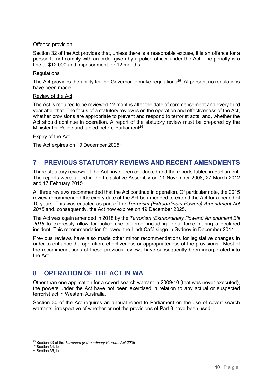## Offence provision

Section 32 of the Act provides that, unless there is a reasonable excuse, it is an offence for a person to not comply with an order given by a police officer under the Act. The penalty is a fine of \$12 000 and imprisonment for 12 months.

#### **Regulations**

The Act provides the ability for the Governor to make regulations<sup>25</sup>. At present no regulations have been made.

#### Review of the Act

The Act is required to be reviewed 12 months after the date of commencement and every third year after that. The focus of a statutory review is on the operation and effectiveness of the Act, whether provisions are appropriate to prevent and respond to terrorist acts, and, whether the Act should continue in operation. A report of the statutory review must be prepared by the Minister for Police and tabled before Parliament<sup>[26](#page-9-3)</sup>.

## Expiry of the Act

<span id="page-9-0"></span>The Act expires on 19 December 2025<sup>[27](#page-9-4)</sup>.

## **7 PREVIOUS STATUTORY REVIEWS AND RECENT AMENDMENTS**

Three statutory reviews of the Act have been conducted and the reports tabled in Parliament. The reports were tabled in the Legislative Assembly on 11 November 2008, 27 March 2012 and 17 February 2015.

All three reviews recommended that the Act continue in operation. Of particular note, the 2015 review recommended the expiry date of the Act be amended to extend the Act for a period of 10 years. This was enacted as part of the *Terrorism (Extraordinary Powers) Amendment Act 2015* and, consequently, the Act now expires on 19 December 2025.

The Act was again amended in 2018 by the *Terrorism (Extraordinary Powers) Amendment Bill 2018* to expressly allow for police use of force, including lethal force, during a declared incident. This recommendation followed the Lindt Café siege in Sydney in December 2014.

Previous reviews have also made other minor recommendations for legislative changes in order to enhance the operation, effectiveness or appropriateness of the provisions. Most of the recommendations of these previous reviews have subsequently been incorporated into the Act.

## <span id="page-9-1"></span>**8 OPERATION OF THE ACT IN WA**

Other than one application for a covert search warrant in 2009/10 (that was never executed), the powers under the Act have not been exercised in relation to any actual or suspected terrorist act in Western Australia.

Section 30 of the Act requires an annual report to Parliament on the use of covert search warrants, irrespective of whether or not the provisions of Part 3 have been used.

<span id="page-9-2"></span><sup>25</sup> Section 33 of the *Terrorism (Extraordinary Powers) Act 2005*

<span id="page-9-3"></span><sup>&</sup>lt;sup>26</sup> Section 34, ibid

<span id="page-9-4"></span><sup>&</sup>lt;sup>27</sup> Section 35, ibid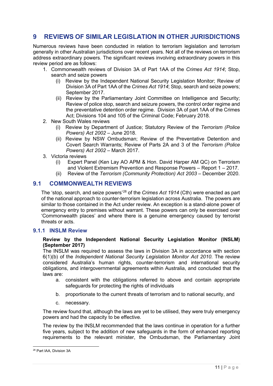## <span id="page-10-0"></span>**9 REVIEWS OF SIMILAR LEGISLATION IN OTHER JURISDICTIONS**

Numerous reviews have been conducted in relation to terrorism legislation and terrorism generally in other Australian jurisdictions over recent years. Not all of the reviews on terrorism address extraordinary powers. The significant reviews involving extraordinary powers in this review period are as follows:

- 1. Commonwealth reviews of Division 3A of Part 1AA of the *Crimes Act 1914*; Stop, search and seize powers
	- (i) Review by the Independent National Security Legislation Monitor; Review of Division 3A of Part 1AA of the *Crimes Act 1914*; Stop, search and seize powers; September 2017.
	- (ii) Review by the Parliamentary Joint Committee on Intelligence and Security; Review of police stop, search and seizure powers, the control order regime and the preventative detention order regime. Division 3A of part 1AA of the Crimes Act; Divisions 104 and 105 of the Criminal Code; February 2018.
- 2. New South Wales reviews
	- (i) Review by Department of Justice; Statutory Review of the *Terrorism (Police Powers) Act 2002* – June 2018.
	- (ii) Review by NSW Ombudsman; Review of the Preventative Detention and Covert Search Warrants; Review of Parts 2A and 3 of the *Terrorism (Police Powers) Act 2002* – March 2017.
- 3. Victoria reviews
	- (i) Expert Panel (Ken Lay AO APM & Hon. David Harper AM QC) on Terrorism and Violent Extremism Prevention and Response Powers – Report 1 – 2017.
	- (ii) Review of the *Terrorism (Community Protection) Act 2003* December 2020.

## <span id="page-10-1"></span>**9.1 COMMONWEALTH REVIEWS**

The 'stop, search, and seize powers'[28](#page-10-3) of the *Crimes Act 1914* (Cth) were enacted as part of the national approach to counter-terrorism legislation across Australia. The powers are similar to those contained in the Act under review. An exception is a stand-alone power of emergency entry to premises without warrant. These powers can only be exercised over 'Commonwealth places' and where there is a genuine emergency caused by terrorist threats or acts.

## <span id="page-10-2"></span>**9.1.1 INSLM Review**

## **Review by the Independent National Security Legislation Monitor (INSLM) (September 2017)**

The INSLM was required to assess the laws in Division 3A in accordance with section 6(1)(b) of the *Independent National Security Legislation Monitor Act 2010*. The review considered Australia's human rights, counter-terrorism and international security obligations, and intergovernmental agreements within Australia, and concluded that the laws are:

- a. consistent with the obligations referred to above and contain appropriate safeguards for protecting the rights of individuals
- b. proportionate to the current threats of terrorism and to national security, and
- c. necessary.

The review found that, although the laws are yet to be utilised, they were truly emergency powers and had the capacity to be effective.

The review by the INSLM recommended that the laws continue in operation for a further five years, subject to the addition of new safeguards in the form of enhanced reporting requirements to the relevant minister, the Ombudsman, the Parliamentary Joint

<span id="page-10-3"></span><sup>28</sup> Part IAA, Division 3A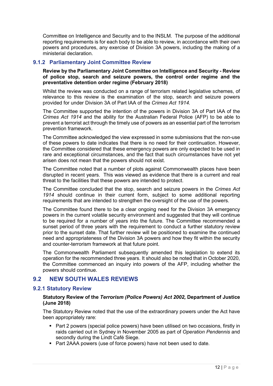Committee on Intelligence and Security and to the INSLM. The purpose of the additional reporting requirements is for each body to be able to review, in accordance with their own powers and procedures, any exercise of Division 3A powers, including the making of a ministerial declaration.

## <span id="page-11-0"></span>**9.1.2 Parliamentary Joint Committee Review**

#### **Review by the Parliamentary Joint Committee on Intelligence and Security - Review of police stop, search and seizure powers, the control order regime and the preventative detention order regime (February 2018)**

Whilst the review was conducted on a range of terrorism related legislative schemes, of relevance to this review is the examination of the stop, search and seizure powers provided for under Division 3A of Part IAA of the *Crimes Act 1914.*

The Committee supported the intention of the powers in Division 3A of Part IAA of the *Crimes Act 1914* and the ability for the Australian Federal Police (AFP) to be able to prevent a terrorist act through the timely use of powers as an essential part of the terrorism prevention framework.

The Committee acknowledged the view expressed in some submissions that the non-use of these powers to date indicates that there is no need for their continuation. However, the Committee considered that these emergency powers are only expected to be used in rare and exceptional circumstances, and the fact that such circumstances have not yet arisen does not mean that the powers should not exist.

The Committee noted that a number of plots against Commonwealth places have been disrupted in recent years. This was viewed as evidence that there is a current and real threat to the facilities that these powers are intended to protect.

The Committee concluded that the stop, search and seizure powers in the *Crimes Act 1914* should continue in their current form, subject to some additional reporting requirements that are intended to strengthen the oversight of the use of the powers.

The Committee found there to be a clear ongoing need for the Division 3A emergency powers in the current volatile security environment and suggested that they will continue to be required for a number of years into the future. The Committee recommended a sunset period of three years with the requirement to conduct a further statutory review prior to the sunset date. That further review will be positioned to examine the continued need and appropriateness of the Division 3A powers and how they fit within the security and counter-terrorism framework at that future point.

The Commonwealth Parliament subsequently amended this legislation to extend its operation for the recommended three years. It should also be noted that in October 2020, the Committee commenced an inquiry into powers of the AFP, including whether the powers should continue.

## <span id="page-11-1"></span>**9.2 NEW SOUTH WALES REVIEWS**

## <span id="page-11-2"></span>**9.2.1 Statutory Review**

## **Statutory Review of the** *Terrorism (Police Powers) Act 2002,* **Department of Justice (June 2018)**

The Statutory Review noted that the use of the extraordinary powers under the Act have been appropriately rare:

- Part 2 powers (special police powers) have been utilised on two occasions, firstly in raids carried out in Sydney in November 2005 as part of *Operation Pendennis* and secondly during the Lindt Café Siege.
- Part 2AAA powers (use of force powers) have not been used to date.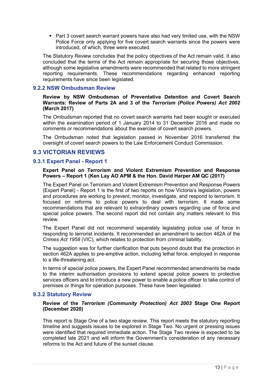Part 3 covert search warrant powers have also had very limited use, with the NSW Police Force only applying for five covert search warrants since the powers were introduced, of which, three were executed.

The Statutory Review concludes that the policy objectives of the Act remain valid. It also concluded that the terms of the Act remain appropriate for securing those objectives, although some legislative amendments were recommended that related to more stringent reporting requirements. These recommendations regarding enhanced reporting requirements have since been legislated.

## <span id="page-12-0"></span>**9.2.2 NSW Ombudsman Review**

**Review by NSW Ombudsman of Preventative Detention and Covert Search Warrants: Review of Parts 2A and 3 of the** *Terrorism (Police Powers) Act 2002* **(March 2017)**

The Ombudsman reported that no covert search warrants had been sought or executed within the examination period of 1 January 2014 to 31 December 2016 and made no comments or recommendations about the exercise of covert search powers.

The Ombudsman noted that legislation passed in November 2016 transferred the oversight of covert search powers to the Law Enforcement Conduct Commission.

## <span id="page-12-1"></span>**9.3 VICTORIAN REVIEWS**

## <span id="page-12-2"></span>**9.3.1 Expert Panel - Report 1**

## **Expert Panel on Terrorism and Violent Extremism Prevention and Response Powers – Report 1 (Ken Lay AO APM & the Hon. David Harper AM QC (2017)**

The Expert Panel on Terrorism and Violent Extremism Prevention and Response Powers (Expert Panel) - Report 1 is the first of two reports on how Victoria's legislation, powers and procedures are working to prevent, monitor, investigate, and respond to terrorism. It focused on reforms to police powers to deal with terrorism. It made some recommendations that are relevant to extraordinary powers regarding use of force and special police powers. The second report did not contain any matters relevant to this review.

The Expert Panel did not recommend separately legislating police use of force in responding to terrorist incidents. It recommended an amendment to section 462A of the *Crimes Act 1958* (VIC), which relates to protection from criminal liability.

The suggestion was for further clarification that puts beyond doubt that the protection in section 462A applies to pre-emptive action, including lethal force, employed in response to a life-threatening act.

In terms of special police powers, the Expert Panel recommended amendments be made to the interim authorisation provisions to extend special police powers to protective services officers and to introduce a new power to enable a police officer to take control of premises or things for operation purposes. These have been legislated.

## <span id="page-12-3"></span>**9.3.2 Statutory Review**

## **Review of the** *Terrorism (Community Protection) Act 2003* **Stage One Report (December 2020)**

This report is Stage One of a two stage review. This report meets the statutory reporting timeline and suggests issues to be explored in Stage Two. No urgent or pressing issues were identified that required immediate action. The Stage Two review is expected to be completed late 2021 and will inform the Government's consideration of any necessary reforms to the Act and future of the sunset clause.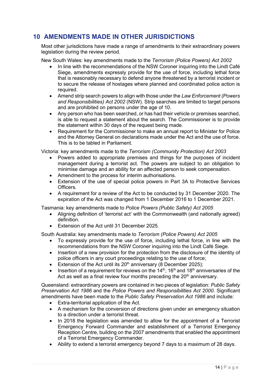## <span id="page-13-0"></span>**10 AMENDMENTS MADE IN OTHER JURISDICTIONS**

Most other jurisdictions have made a range of amendments to their extraordinary powers legislation during the review period.

New South Wales: key amendments made to the *Terrorism (Police Powers) Act 2002*

- In line with the recommendations of the NSW Coroner inquiring into the Lindt Café Siege, amendments expressly provide for the use of force, including lethal force that is reasonably necessary to defend anyone threatened by a terrorist incident or to secure the release of hostages where planned and coordinated police action is required.
- Amend strip search powers to align with those under the *Law Enforcement (Powers and Responsibilities) Act 2002* (NSW). Strip searches are limited to target persons and are prohibited on persons under the age of 10.
- Any person who has been searched, or has had their vehicle or premises searched, is able to request a statement about the search. The Commissioner is to provide the statement within 30 days of the request being made.
- Requirement for the Commissioner to make an annual report to Minister for Police and the Attorney General on declarations made under the Act and the use of force. This is to be tabled in Parliament.

Victoria: key amendments made to the *Terrorism (Community Protection) Act 2003*

- Powers added to appropriate premises and things for the purposes of incident management during a terrorist act. The powers are subject to an obligation to minimise damage and an ability for an affected person to seek compensation.
- Amendment to the process for interim authorisations.
- Extension of the use of special police powers in Part 3A to Protective Services Officers*.*
- A requirement for a review of the Act to be conducted by 31 December 2020. The expiration of the Act was changed from 1 December 2016 to 1 December 2021.

Tasmania: key amendments made to *Police Powers (Public Safety) Act 2005*

- Aligning definition of 'terrorist act' with the Commonwealth (and nationally agreed) definition.
- Extension of the Act until 31 December 2025.

South Australia: key amendments made to *Terrorism (Police Powers) Act 2005*

- To expressly provide for the use of force, including lethal force, in line with the recommendations from the NSW Coroner inquiring into the Lindt Café Siege.
- Insertion of a new provision for the protection from the disclosure of the identity of police officers in any court proceedings relating to the use of force;
- Extension of the Act until its  $20<sup>th</sup>$  anniversary (8 December 2025):
- Insertion of a requirement for reviews on the  $14<sup>th</sup>$ , 16<sup>th</sup> and 18<sup>th</sup> anniversaries of the Act as well as a final review four months preceding the  $20<sup>th</sup>$  anniversary.

Queensland: extraordinary powers are contained in two pieces of legislation: *Public Safety Preservation Act 1986* and the *Police Powers and Responsibilities Act 2000*. Significant amendments have been made to the *Public Safety Preservation Act 1986* and include:

- Extra-territorial application of the Act.
- A mechanism for the conversion of directions given under an emergency situation to a direction under a terrorist threat.
- In 2018 the legislation was amended to allow for the appointment of a Terrorist Emergency Forward Commander and establishment of a Terrorist Emergency Reception Centre, building on the 2007 amendments that enabled the appointment of a Terrorist Emergency Commander.
- Ability to extend a terrorist emergency beyond 7 days to a maximum of 28 days.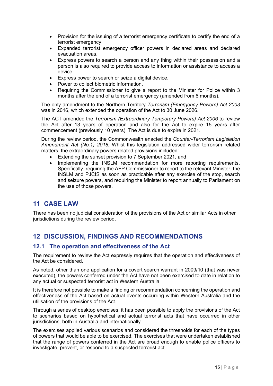- Provision for the issuing of a terrorist emergency certificate to certify the end of a terrorist emergency.
- Expanded terrorist emergency officer powers in declared areas and declared evacuation areas.
- Express powers to search a person and any thing within their possession and a person is also required to provide access to information or assistance to access a device.
- Express power to search or seize a digital device.
- Power to collect biometric information.
- Requiring the Commissioner to give a report to the Minister for Police within 3 months after the end of a terrorist emergency (amended from 6 months).

The only amendment to the Northern Territory *Terrorism (Emergency Powers) Act 2003* was in 2016, which extended the operation of the Act to 30 June 2026.

The ACT amended the *Terrorism (Extraordinary Temporary Powers) Act 2006* to review the Act after 13 years of operation and also for the Act to expire 15 years after commencement (previously 10 years). The Act is due to expire in 2021.

During the review period, the Commonwealth enacted the *Counter-Terrorism Legislation Amendment Act (No.1) 2018.* Whist this legislation addressed wider terrorism related matters, the extraordinary powers related provisions included:

- Extending the sunset provision to 7 September 2021, and
- Implementing the INSLM recommendation for more reporting requirements. Specifically, requiring the AFP Commissioner to report to the relevant Minister, the INSLM and PJCIS as soon as practicable after any exercise of the stop, search and seizure powers, and requiring the Minister to report annually to Parliament on the use of those powers.

## <span id="page-14-0"></span>**11 CASE LAW**

<span id="page-14-1"></span>There has been no judicial consideration of the provisions of the Act or similar Acts in other jurisdictions during the review period.

## **12 DISCUSSION, FINDINGS AND RECOMMENDATIONS**

## <span id="page-14-2"></span>**12.1 The operation and effectiveness of the Act**

The requirement to review the Act expressly requires that the operation and effectiveness of the Act be considered.

As noted, other than one application for a covert search warrant in 2009/10 (that was never executed), the powers conferred under the Act have not been exercised to date in relation to any actual or suspected terrorist act in Western Australia.

It is therefore not possible to make a finding or recommendation concerning the operation and effectiveness of the Act based on actual events occurring within Western Australia and the utilisation of the provisions of the Act.

Through a series of desktop exercises, it has been possible to apply the provisions of the Act to scenarios based on hypothetical and actual terrorist acts that have occurred in other jurisdictions, both in Australia and internationally.

The exercises applied various scenarios and considered the thresholds for each of the types of powers that would be able to be exercised. The exercises that were undertaken established that the range of powers conferred in the Act are broad enough to enable police officers to investigate, prevent, or respond to a suspected terrorist act.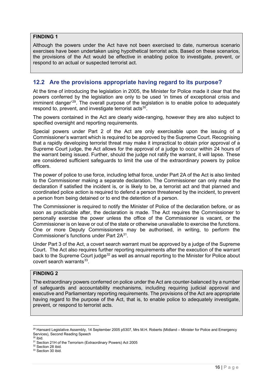## **FINDING 1**

Although the powers under the Act have not been exercised to date, numerous scenario exercises have been undertaken using hypothetical terrorist acts. Based on these scenarios, the provisions of the Act would be effective in enabling police to investigate, prevent, or respond to an actual or suspected terrorist act.

## <span id="page-15-0"></span>**12.2 Are the provisions appropriate having regard to its purpose?**

At the time of introducing the legislation in 2005, the Minister for Police made it clear that the powers conferred by the legislation are only to be used 'in times of exceptional crisis and imminent danger' [29](#page-15-1). The overall purpose of the legislation is to enable police to adequately respond to, prevent, and investigate terrorist acts<sup>30</sup>.

The powers contained in the Act are clearly wide-ranging, however they are also subject to specified oversight and reporting requirements.

Special powers under Part 2 of the Act are only exercisable upon the issuing of a Commissioner's warrant which is required to be approved by the Supreme Court. Recognising that a rapidly developing terrorist threat may make it impractical to obtain prior approval of a Supreme Court judge, the Act allows for the approval of a judge to occur within 24 hours of the warrant being issued. Further, should the judge not ratify the warrant, it will lapse. These are considered sufficient safeguards to limit the use of the extraordinary powers by police officers.

The power of police to use force, including lethal force, under Part 2A of the Act is also limited to the Commissioner making a separate declaration. The Commissioner can only make the declaration if satisfied the incident is, or is likely to be, a terrorist act and that planned and coordinated police action is required to defend a person threatened by the incident, to prevent a person from being detained or to end the detention of a person.

The Commissioner is required to notify the Minister of Police of the declaration before, or as soon as practicable after, the declaration is made. The Act requires the Commissioner to personally exercise the power unless the office of the Commissioner is vacant, or the Commissioner is on leave or out of the state or otherwise unavailable to exercise the functions. One or more Deputy Commissioners may be authorised, in writing, to perform the Commissioner's functions under Part 2A[31](#page-15-3).

Under Part 3 of the Act, a covert search warrant must be approved by a judge of the Supreme Court. The Act also requires further reporting requirements after the execution of the warrant back to the Supreme Court judge<sup>[32](#page-15-4)</sup> as well as annual reporting to the Minister for Police about covert search warrants $^{33}$ .

## **FINDING 2**

The extraordinary powers conferred on police under the Act are counter-balanced by a number of safeguards and accountability mechanisms, including requiring judicial approval and executive and Parliamentary reporting requirements. The provisions of the Act are appropriate having regard to the purpose of the Act, that is, to enable police to adequately investigate, prevent, or respond to terrorist acts.

<span id="page-15-1"></span><sup>&</sup>lt;sup>29</sup> Hansard Legislative Assembly, 14 September 2005 p5307, Mrs M.H. Roberts (Midland – Minister for Police and Emergency Services), Second Reading Speech  $30$  ibid.

<span id="page-15-3"></span><span id="page-15-2"></span><sup>&</sup>lt;sup>31</sup> Section 21H of the Terrorism (Extraordinary Powers) Act 2005

<span id="page-15-4"></span> $32$  Section 28 ibid.

<span id="page-15-5"></span><sup>&</sup>lt;sup>33</sup> Section 30 ibid.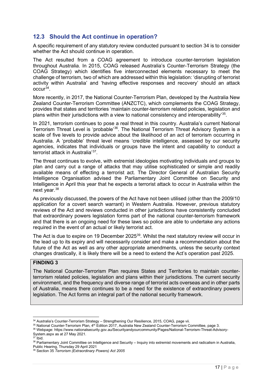## <span id="page-16-0"></span>**12.3 Should the Act continue in operation?**

A specific requirement of any statutory review conducted pursuant to section 34 is to consider whether the Act should continue in operation.

The Act resulted from a COAG agreement to introduce counter-terrorism legislation throughout Australia. In 2015, COAG released Australia's Counter-Terrorism Strategy (the COAG Strategy) which identifies five interconnected elements necessary to meet the challenge of terrorism, two of which are addressed within this legislation: 'disrupting of terrorist activity within Australia' and 'having effective responses and recovery' should an attack occur[34](#page-16-1).

More recently, in 2017, the National Counter-Terrorism Plan, developed by the Australia New Zealand Counter-Terrorism Committee (ANZCTC), which complements the COAG Strategy, provides that states and territories 'maintain counter-terrorism related policies, legislation and plans within their jurisdictions with a view to national consistency and interoperability'[35](#page-16-2).

In 2021, terrorism continues to pose a real threat in this country. Australia's current National Terrorism Threat Level is 'probable'[36](#page-16-3). The National Terrorism Threat Advisory System is a scale of five levels to provide advice about the likelihood of an act of terrorism occurring in Australia. A 'probable' threat level means 'credible intelligence, assessed by our security agencies, indicates that individuals or groups have the intent and capability to conduct a terrorist attack in Australia'[37.](#page-16-4)

The threat continues to evolve, with extremist ideologies motivating individuals and groups to plan and carry out a range of attacks that may utilise sophisticated or simple and readily available means of effecting a terrorist act. The Director General of Australian Security Intelligence Organisation advised the Parliamentary Joint Committee on Security and Intelligence in April this year that he expects a terrorist attack to occur in Australia within the next year.<sup>[38](#page-16-5)</sup>

As previously discussed, the powers of the Act have not been utilised (other than the 2009/10 application for a covert search warrant) in Western Australia. However, previous statutory reviews of the Act and reviews conducted in other jurisdictions have consistently concluded that extraordinary powers legislation forms part of the national counter-terrorism framework and that there is an ongoing need for these laws so police are able to undertake any actions required in the event of an actual or likely terrorist act.

The Act is due to expire on 19 December 2025<sup>[39](#page-16-6)</sup>. Whilst the next statutory review will occur in the lead up to its expiry and will necessarily consider and make a recommendation about the future of the Act as well as any other appropriate amendments, unless the security context changes drastically, it is likely there will be a need to extend the Act's operation past 2025.

## **FINDING 3**

The National Counter-Terrorism Plan requires States and Territories to maintain counterterrorism related policies, legislation and plans within their jurisdictions. The current security environment, and the frequency and diverse range of terrorist acts overseas and in other parts of Australia, means there continues to be a need for the existence of extraordinary powers legislation. The Act forms an integral part of the national security framework.

<span id="page-16-1"></span><sup>&</sup>lt;sup>34</sup> Australia's Counter-Terrorism Strategy - Strengthening Our Resilience, 2015, COAG, page vii.

<span id="page-16-2"></span><sup>35</sup> National Counter-Terrorism Plan, 4th Edition 2017, Australia New Zealand Counter-Terrorism Committee, page 3.

<span id="page-16-3"></span><sup>36</sup> Webpage: https://www.nationalsecurity.gov.au/Securityandyourcommunity/Pages/National-Terrorism-Threat-Advisory-System.aspx as at 27 May 2021.

 $37$  Ibid.

<span id="page-16-5"></span><span id="page-16-4"></span><sup>38</sup> Parliamentary Joint Committee on Intelligence and Security – Inquiry into extremist movements and radicalism in Australia, Public Hearing, Thursday 29 April 2021

<span id="page-16-6"></span><sup>39</sup> Section 35 *Terrorism (Extraordinary Powers) Act 2005*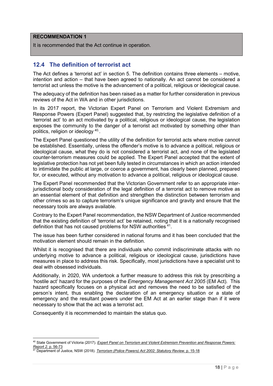## **RECOMMENDATION 1**

It is recommended that the Act continue in operation.

## <span id="page-17-0"></span>**12.4 The definition of terrorist act**

The Act defines a 'terrorist act' in section 5. The definition contains three elements – motive, intention and action – that have been agreed to nationally. An act cannot be considered a terrorist act unless the motive is the advancement of a political, religious or ideological cause.

The adequacy of the definition has been raised as a matter for further consideration in previous reviews of the Act in WA and in other jurisdictions.

In its 2017 report, the Victorian Expert Panel on Terrorism and Violent Extremism and Response Powers (Expert Panel) suggested that, by restricting the legislative definition of a 'terrorist act' to an act motivated by a political, religious or ideological cause, the legislation exposes the community to the danger of a terrorist act motivated by something other than politics, religion or ideology <sup>[40](#page-17-1)</sup>.

The Expert Panel questioned the utility of the definition for terrorist acts where motive cannot be established. Essentially, unless the offender's motive is to advance a political, religious or ideological cause, what they do is not considered a terrorist act, and none of the legislated counter-terrorism measures could be applied. The Expert Panel accepted that the extent of legislative protection has not yet been fully tested in circumstances in which an action intended to intimidate the public at large, or coerce a government, has clearly been planned, prepared for, or executed, without any motivation to advance a political, religious or ideological cause.

The Expert Panel recommended that the Victorian Government refer to an appropriate interjurisdictional body consideration of the legal definition of a terrorist act to remove motive as an essential element of that definition and strengthen the distinction between terrorism and other crimes so as to capture terrorism's unique significance and gravity and ensure that the necessary tools are always available.

Contrary to the Expert Panel recommendation, the NSW Department of Justice recommended that the existing definition of 'terrorist act' be retained, noting that it is a nationally recognised definition that has not caused problems for NSW authorities [41](#page-17-2).

The issue has been further considered in national forums and it has been concluded that the motivation element should remain in the definition.

Whilst it is recognised that there are individuals who commit indiscriminate attacks with no underlying motive to advance a political, religious or ideological cause, jurisdictions have measures in place to address this risk. Specifically, most jurisdictions have a specialist unit to deal with obsessed individuals.

Additionally, in 2020, WA undertook a further measure to address this risk by prescribing a 'hostile act' hazard for the purposes of the *Emergency Management Act 2005* (EM Act)*.* This hazard specifically focuses on a physical act and removes the need to be satisfied of the person's intent, thus enabling the declaration of an emergency situation or a state of emergency and the resultant powers under the EM Act at an earlier stage than if it were necessary to show that the act was a terrorist act.

Consequently it is recommended to maintain the status quo.

<span id="page-17-1"></span><sup>40</sup> State Government of Victoria (2017). *[Expert Panel on Terrorism and Violent Extremism Prevention and Response Powers:](https://www.vic.gov.au/sites/default/files/2019-02/Expert-Panel-on-Terrorism-Report-2.pdf)  Report 2.* p. 56-73 41 Department of Justice, NSW (2018). *[Terrorism \(Police Powers\) Act 2002: Statutory Review.](https://www.justice.nsw.gov.au/justicepolicy/Documents/statutory-review-of-the-tppa.pdf)* p. 15-18

<span id="page-17-2"></span>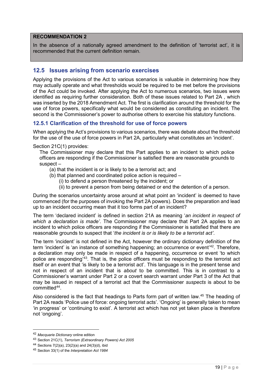## **RECOMMENDATION 2**

In the absence of a nationally agreed amendment to the definition of 'terrorist act', it is recommended that the current definition remain.

## <span id="page-18-0"></span>**12.5 Issues arising from scenario exercises**

Applying the provisions of the Act to various scenarios is valuable in determining how they may actually operate and what thresholds would be required to be met before the provisions of the Act could be invoked. After applying the Act to numerous scenarios, two issues were identified as requiring further consideration. Both of these issues related to Part 2A , which was inserted by the 2018 Amendment Act. The first is clarification around the threshold for the use of force powers, specifically what would be considered as constituting an incident. The second is the Commissioner's power to authorise others to exercise his statutory functions.

## <span id="page-18-1"></span>**12.5.1 Clarification of the threshold for use of force powers**

When applying the Act's provisions to various scenarios, there was debate about the threshold for the use of the use of force powers in Part 2A, particularly what constitutes an 'incident'.

Section 21C(1) provides:

The Commissioner may declare that this Part applies to an incident to which police officers are responding if the Commissioner is satisfied there are reasonable grounds to suspect –

- (a) that the incident is or is likely to be a terrorist act; and
- (b) that planned and coordinated police action is required
	- (i) to defend a person threatened by the incident; or
	- (ii) to prevent a person from being detained or end the detention of a person.

During the scenarios uncertainty arose around at what point an 'incident' is deemed to have commenced (for the purposes of invoking the Part 2A powers). Does the preparation and lead up to an incident occurring mean that it too forms part of an incident?

The term 'declared incident' is defined in section 21A as meaning '*an incident in respect of which a declaration is made'*. The Commissioner may declare that Part 2A applies to an incident to which police officers are responding if the Commissioner is satisfied that there are reasonable grounds to suspect that '*the incident is or is likely to be a terrorist act'*.

The term 'incident' is not defined in the Act, however the ordinary dictionary definition of the term 'incident' is 'an instance of something happening; an occurrence or event'<sup>[42](#page-18-2)</sup>. Therefore, a declaration may only be made in respect of a happening, occurrence or event 'to which police are responding'[43](#page-18-3). That is, the police officers must be responding to the terrorist act itself or an event that 'is likely to be a terrorist act'. This language is in the present tense and not in respect of an incident that is *about* to be committed. This is in contrast to a Commissioner's warrant under Part 2 or a covert search warrant under Part 3 of the Act that may be issued in respect of a terrorist act that the Commissioner *suspects* is about to be committed<sup>44</sup>.

Also considered is the fact that headings to Parts form part of written law.[45](#page-18-5) The heading of Part 2A reads 'Police use of force: ongoing terrorist acts'. 'Ongoing' is generally taken to mean 'in progress' or 'continuing to exist'. A terrorist act which has not yet taken place is therefore not 'ongoing'.

<span id="page-18-2"></span><sup>42</sup> *Macquarie Dictionary* online edition

<span id="page-18-3"></span><sup>43</sup> Section 21C(1), *Terrorism (Extraordinary Powers) Act 2005*

<span id="page-18-4"></span><sup>44</sup> Sections 7(2)(a), 23(2)(a) and 24(3)(d), ibid

<span id="page-18-5"></span><sup>45</sup> Section 33(1) of the *Interpretation Act 1984*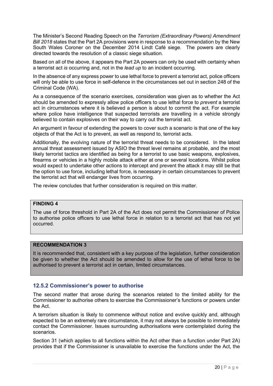The Minister's Second Reading Speech on the *Terrorism (Extraordinary Powers) Amendment Bill 2018* states that the Part 2A provisions were in response to a recommendation by the New South Wales Coroner on the December 2014 Lindt Café siege. The powers are clearly directed towards the resolution of a classic siege situation.

Based on all of the above, it appears the Part 2A powers can only be used with certainty when a terrorist act *is* occurring and, not in the *lead up* to an incident occurring.

In the absence of any express power to use lethal force to prevent a terrorist act, police officers will only be able to use force in self-defence in the circumstances set out in section 248 of the Criminal Code (WA).

As a consequence of the scenario exercises, consideration was given as to whether the Act should be amended to expressly allow police officers to use lethal force to *prevent* a terrorist act in circumstances where it is believed a person is about to commit the act. For example where police have intelligence that suspected terrorists are travelling in a vehicle strongly believed to contain explosives on their way to carry out the terrorist act.

An argument in favour of extending the powers to cover such a scenario is that one of the key objects of that the Act is to prevent, as well as respond to, terrorist acts.

Additionally, the evolving nature of the terrorist threat needs to be considered. In the latest annual threat assessment issued by ASIO the threat level remains at probable, and the most likely terrorist tactics are identified as being for a terrorist to use basic weapons, explosives, firearms or vehicles in a highly mobile attack either at one or several locations. Whilst police would expect to undertake other actions to intercept and prevent the attack it may still be that the option to use force, including lethal force, is necessary in certain circumstances to prevent the terrorist act that will endanger lives from occurring.

The review concludes that further consideration is required on this matter.

## **FINDING 4**

The use of force threshold in Part 2A of the Act does not permit the Commissioner of Police to authorise police officers to use lethal force in relation to a terrorist act that has not yet occurred.

## **RECOMMENDATION 3**

It is recommended that, consistent with a key purpose of the legislation, further consideration be given to whether the Act should be amended to allow for the use of lethal force to be authorised to prevent a terrorist act in certain, limited circumstances.

## <span id="page-19-0"></span>**12.5.2 Commissioner's power to authorise**

The second matter that arose during the scenarios related to the limited ability for the Commissioner to authorise others to exercise the Commissioner's functions or powers under the Act.

A terrorism situation is likely to commence without notice and evolve quickly and, although expected to be an extremely rare circumstance, it may not always be possible to immediately contact the Commissioner. Issues surrounding authorisations were contemplated during the scenarios.

Section 31 (which applies to all functions within the Act other than a function under Part 2A) provides that if the Commissioner is unavailable to exercise the functions under the Act, the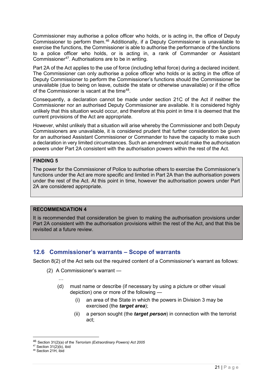Commissioner may authorise a police officer who holds, or is acting in, the office of Deputy Commissioner to perform them. [46](#page-20-1) Additionally, if a Deputy Commissioner is unavailable to exercise the functions, the Commissioner is able to authorise the performance of the functions to a police officer who holds, or is acting in, a rank of Commander or Assistant Commissioner[47](#page-20-2). Authorisations are to be in writing.

Part 2A of the Act applies to the use of force (including lethal force) during a declared incident. The Commissioner can only authorise a police officer who holds or is acting in the office of Deputy Commissioner to perform the Commissioner's functions should the Commissioner be unavailable (due to being on leave, outside the state or otherwise unavailable) or if the office of the Commissioner is vacant at the time[48](#page-20-3).

Consequently, a declaration cannot be made under section 21C of the Act if neither the Commissioner nor an authorised Deputy Commissioner are available. It is considered highly unlikely that this situation would occur, and therefore at this point in time it is deemed that the current provisions of the Act are appropriate.

However, whilst unlikely that a situation will arise whereby the Commissioner and both Deputy Commissioners are unavailable, it is considered prudent that further consideration be given for an authorised Assistant Commissioner or Commander to have the capacity to make such a declaration in very limited circumstances. Such an amendment would make the authorisation powers under Part 2A consistent with the authorisation powers within the rest of the Act.

## **FINDING 5**

The power for the Commissioner of Police to authorise others to exercise the Commissioner's functions under the Act are more specific and limited in Part 2A than the authorisation powers under the rest of the Act. At this point in time, however the authorisation powers under Part 2A are considered appropriate.

## **RECOMMENDATION 4**

It is recommended that consideration be given to making the authorisation provisions under Part 2A consistent with the authorisation provisions within the rest of the Act, and that this be revisited at a future review.

## <span id="page-20-0"></span>**12.6 Commissioner's warrants – Scope of warrants**

Section 8(2) of the Act sets out the required content of a Commissioner's warrant as follows:

- (2) A Commissioner's warrant
	- …
	- (d) must name or describe (if necessary by using a picture or other visual depiction) one or more of the following —
		- (i) an area of the State in which the powers in Division 3 may be exercised (the *target area*);
		- (ii) a person sought (the *target person*) in connection with the terrorist act;

<span id="page-20-1"></span><sup>46</sup> Section 31(2)(a) of the *Terrorism (Extraordinary Powers) Act 2005*

<span id="page-20-2"></span> $47$  Section 31(2)(b), ibid

<span id="page-20-3"></span><sup>48</sup> Section 21H, ibid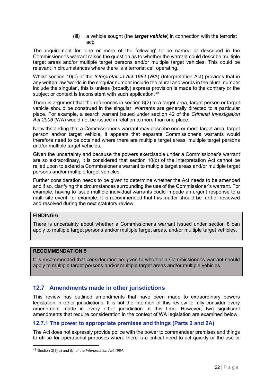(iii) a vehicle sought (the *target vehicle*) in connection with the terrorist act;

The requirement for 'one or more of the following' to be named or described in the Commissioner's warrant raises the question as to whether the warrant could describe multiple target areas and/or multiple target persons and/or multiple target vehicles. This could be relevant in circumstances where there is a terrorist cell operating.

Whilst section 10(c) of the *Interpretation Act 1984* (WA) (Interpretation Act) provides that in any written law 'words in the singular number include the plural and words in the plural number include the singular', this is unless (broadly) express provision is made to the contrary or the subject or context is inconsistent with such application.<sup>[49](#page-21-2)</sup>

There is argument that the references in section 8(2) to a target area, target person or target vehicle should be construed in the singular. Warrants are generally directed to a particular place. For example, a search warrant issued under section 42 of the *Criminal Investigation Act 2006* (WA) would not be issued in relation to more than one place.

Notwithstanding that a Commissioner's warrant may describe one or more target area, target person and/or target vehicle, it appears that separate Commissioner's warrants would therefore need to be obtained where there are multiple target areas, multiple target persons and/or multiple target vehicles.

Given the uncertainty and because the powers exercisable under a Commissioner's warrant are so extraordinary, it is considered that section 10(c) of the Interpretation Act cannot be relied upon to extend a Commissioner's warrant to multiple target areas and/or multiple target persons and/or multiple target vehicles.

Further consideration needs to be given to determine whether the Act needs to be amended and if so, clarifying the circumstances surrounding the use of the Commissioner's warrant. For example, having to issue multiple individual warrants could impede an urgent response to a multi-site event, for example. It is recommended that this matter should be further reviewed and resolved during the next statutory review.

## **FINDING 6**

There is uncertainty about whether a Commissioner's warrant issued under section 8 can apply to multiple target persons and/or multiple target areas, and/or multiple target vehicles.

## **RECOMMENDATION 5**

It is recommended that consideration be given to whether a Commissioner's warrant should apply to multiple target persons and/or multiple target areas and/or multiple vehicles.

## <span id="page-21-0"></span>**12.7 Amendments made in other jurisdictions**

This review has outlined amendments that have been made to extraordinary powers legislation in other jurisdictions. It is not the intention of this review to fully consider every amendment made in every other jurisdiction at this time. However, two significant amendments that require consideration in the context of WA legislation are examined below.

## <span id="page-21-1"></span>**12.7.1 The power to appropriate premises and things (Parts 2 and 2A)**

The Act does not expressly provide police with the power to commandeer premises and things to utilise for operational purposes where there is a critical need to act quickly or the use or

<span id="page-21-2"></span><sup>49</sup> Section 3(1)(a) and (b) of the *Interpretation Act 1984*.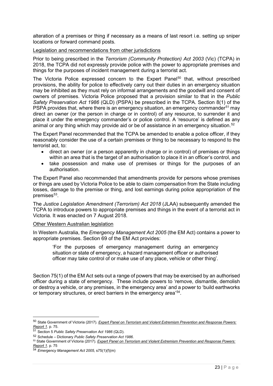alteration of a premises or thing if necessary as a means of last resort i.e. setting up sniper locations or forward command posts.

#### Legislation and recommendations from other jurisdictions

Prior to being prescribed in the *Terrorism (Community Protection) Act 2003* (Vic) (TCPA) in 2018, the TCPA did not expressly provide police with the power to appropriate premises and things for the purposes of incident management during a terrorist act.

The Victoria Police expressed concern to the Expert Panel<sup>[50](#page-22-0)</sup> that, without prescribed provisions, the ability for police to effectively carry out their duties in an emergency situation may be inhibited as they must rely on informal arrangements and the goodwill and consent of owners of premises. Victoria Police proposed that a provision similar to that in the *Public Safety Preservation Act 1986* (QLD) (PSPA) be prescribed in the TCPA. Section 8(1) of the PSPA provides that, where there is an emergency situation, an emergency commander<sup>[51](#page-22-1)</sup> may direct an owner (or the person in charge or in control) of any resource, to surrender it and place it under the emergency commander's or police control. A 'resource' is defined as any animal or any thing which may provide aid or be of assistance in an emergency situation.<sup>[52](#page-22-2)</sup>

The Expert Panel recommended that the TCPA be amended to enable a police officer, if they reasonably consider the use of a certain premises or thing to be necessary to respond to the terrorist act, to:

- direct an owner (or a person apparently in charge or in control) of premises or things within an area that is the target of an authorisation to place it in an officer's control, and
- take possession and make use of premises or things for the purposes of an authorisation.

The Expert Panel also recommended that amendments provide for persons whose premises or things are used by Victoria Police to be able to claim compensation from the State including losses, damage to the premise or thing, and lost earnings during police appropriation of the premises $53$ .

The *Justice Legislation Amendment (Terrorism) Act 2018* (JLAA) subsequently amended the TCPA to introduce powers to appropriate premises and things in the event of a terrorist act in Victoria. It was enacted on 7 August 2018.

#### Other Western Australian legislation

In Western Australia, the *Emergency Management Act 2005* (the EM Act) contains a power to appropriate premises. Section 69 of the EM Act provides:

'For the purposes of emergency management during an emergency situation or state of emergency, a hazard management officer or authorised officer may take control of or make use of any place, vehicle or other thing'.

Section 75(1) of the EM Act sets out a range of powers that may be exercised by an authorised officer during a state of emergency. These include powers to 'remove, dismantle, demolish or destroy a vehicle, or any premises, in the emergency area' and a power to 'build earthworks or temporary structures, or erect barriers in the emergency area'[54.](#page-22-4)

<span id="page-22-0"></span><sup>50</sup> State Government of Victoria (2017). *[Expert Panel on Terrorism and Violent Extremism Prevention and Response Powers:](https://www.vic.gov.au/sites/default/files/2019-02/Expert-Panel-on-Terrorism-Report-1.pdf)  [Report 1.](https://www.vic.gov.au/sites/default/files/2019-02/Expert-Panel-on-Terrorism-Report-1.pdf)* p. 75.

<span id="page-22-1"></span><sup>51</sup> Section 5 *Public Safety Preservation Act 1986* (QLD).

<span id="page-22-2"></span><sup>52</sup> Schedule – Dictionary *Public Safety Preservation Act 1986*.

<span id="page-22-3"></span><sup>53</sup> State Government of Victoria (2017). *[Expert Panel on Terrorism and Violent Extremism Prevention and Response Powers:](https://www.vic.gov.au/sites/default/files/2019-02/Expert-Panel-on-Terrorism-Report-1.pdf)  [Report 1.](https://www.vic.gov.au/sites/default/files/2019-02/Expert-Panel-on-Terrorism-Report-1.pdf)* p. 75

<span id="page-22-4"></span><sup>54</sup> *Emergency Management Act 2005,* s75(1)(f)(m)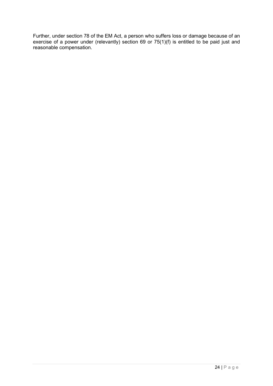Further, under section 78 of the EM Act, a person who suffers loss or damage because of an exercise of a power under (relevantly) section 69 or 75(1)(f) is entitled to be paid just and reasonable compensation.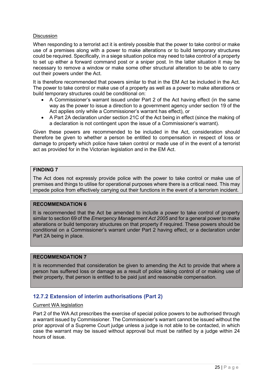## **Discussion**

When responding to a terrorist act it is entirely possible that the power to take control or make use of a premises along with a power to make alterations or to build temporary structures could be required. Specifically, in a siege situation police may need to take control of a property to set up either a forward command post or a sniper post. In the latter situation it may be necessary to remove a window or make some other structural alteration to be able to carry out their powers under the Act.

It is therefore recommended that powers similar to that in the EM Act be included in the Act. The power to take control or make use of a property as well as a power to make alterations or build temporary structures could be conditional on:

- A Commissioner's warrant issued under Part 2 of the Act having effect (in the same way as the power to issue a direction to a government agency under section 19 of the Act applies only while a Commissioner's warrant has effect), or
- A Part 2A declaration under section 21C of the Act being in effect (since the making of a declaration is not contingent upon the issue of a Commissioner's warrant).

Given these powers are recommended to be included in the Act, consideration should therefore be given to whether a person be entitled to compensation in respect of loss or damage to property which police have taken control or made use of in the event of a terrorist act as provided for in the Victorian legislation and in the EM Act.

## **FINDING 7**

The Act does not expressly provide police with the power to take control or make use of premises and things to utilise for operational purposes where there is a critical need. This may impede police from effectively carrying out their functions in the event of a terrorism incident.

## **RECOMMENDATION 6**

It is recommended that the Act be amended to include a power to take control of property similar to section 69 of the *Emergency Management Act 2005* and for a general power to make alterations or build temporary structures on that property if required. These powers should be conditional on a Commissioner's warrant under Part 2 having effect, or a declaration under Part 2A being in place.

## **RECOMMENDATION 7**

It is recommended that consideration be given to amending the Act to provide that where a person has suffered loss or damage as a result of police taking control of or making use of their property, that person is entitled to be paid just and reasonable compensation.

## <span id="page-24-0"></span>**12.7.2 Extension of interim authorisations (Part 2)**

#### Current WA legislation

Part 2 of the WA Act prescribes the exercise of special police powers to be authorised through a warrant issued by Commissioner. The Commissioner's warrant cannot be issued without the prior approval of a Supreme Court judge unless a judge is not able to be contacted, in which case the warrant may be issued without approval but must be ratified by a judge within 24 hours of issue.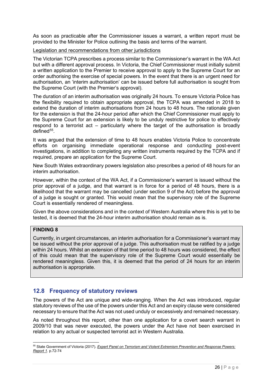As soon as practicable after the Commissioner issues a warrant, a written report must be provided to the Minister for Police outlining the basis and terms of the warrant.

## Legislation and recommendations from other jurisdictions

The Victorian TCPA prescribes a process similar to the Commissioner's warrant in the WA Act but with a different approval process. In Victoria, the Chief Commissioner must initially submit a written application to the Premier to receive approval to apply to the Supreme Court for an order authorising the exercise of special powers. In the event that there is an urgent need for authorisation, an 'interim authorisation' can be issued before full authorisation is sought from the Supreme Court (with the Premier's approval).

The duration of an interim authorisation was originally 24 hours. To ensure Victoria Police has the flexibility required to obtain appropriate approval, the TCPA was amended in 2018 to extend the duration of interim authorisations from 24 hours to 48 hours. The rationale given for the extension is that the 24-hour period after which the Chief Commissioner must apply to the Supreme Court for an extension is likely to be unduly restrictive for police to effectively respond to a terrorist act – particularly where the target of the authorisation is broadly  $defined<sup>55</sup>$  $defined<sup>55</sup>$  $defined<sup>55</sup>$ .

It was argued that the extension of time to 48 hours enables Victoria Police to concentrate efforts on organising immediate operational response and conducting post-event investigations, in addition to completing any written instruments required by the TCPA and if required, prepare an application for the Supreme Court.

New South Wales extraordinary powers legislation also prescribes a period of 48 hours for an interim authorisation.

However, within the context of the WA Act, if a Commissioner's warrant is issued without the prior approval of a judge, and that warrant is in force for a period of 48 hours, there is a likelihood that the warrant may be cancelled (under section 9 of the Act) before the approval of a judge is sought or granted. This would mean that the supervisory role of the Supreme Court is essentially rendered of meaningless.

Given the above considerations and in the context of Western Australia where this is yet to be tested, it is deemed that the 24-hour interim authorisation should remain as is.

## **FINDING 8**

Currently, in urgent circumstances, an interim authorisation for a Commissioner's warrant may be issued without the prior approval of a judge. This authorisation must be ratified by a judge within 24 hours. Whilst an extension of that time period to 48 hours was considered, the effect of this could mean that the supervisory role of the Supreme Court would essentially be rendered meaningless. Given this, it is deemed that the period of 24 hours for an interim authorisation is appropriate.

## <span id="page-25-0"></span>**12.8 Frequency of statutory reviews**

The powers of the Act are unique and wide-ranging. When the Act was introduced, regular statutory reviews of the use of the powers under this Act and an expiry clause were considered necessary to ensure that the Act was not used unduly or excessively and remained necessary.

As noted throughout this report, other than one application for a covert search warrant in 2009/10 that was never executed, the powers under the Act have not been exercised in relation to any actual or suspected terrorist act in Western Australia.

<span id="page-25-1"></span><sup>55</sup> State Government of Victoria (2017). *[Expert Panel on Terrorism and Violent Extremism Prevention and Response Powers:](https://www.vic.gov.au/sites/default/files/2019-02/Expert-Panel-on-Terrorism-Report-1.pdf)  [Report 1.](https://www.vic.gov.au/sites/default/files/2019-02/Expert-Panel-on-Terrorism-Report-1.pdf)* p.72-74